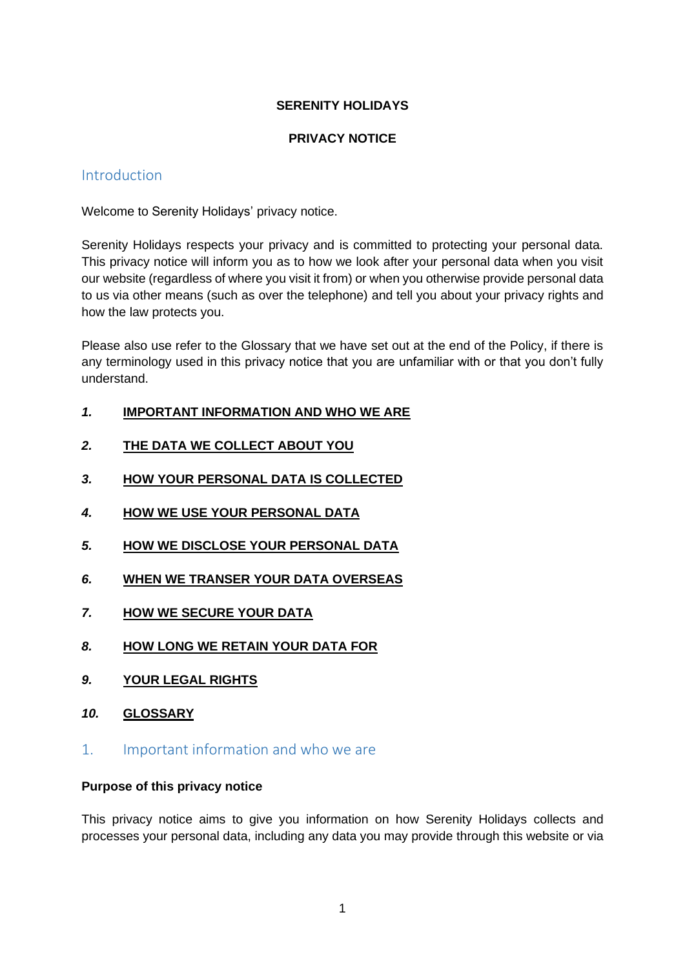## **SERENITY HOLIDAYS**

## **PRIVACY NOTICE**

# Introduction

Welcome to Serenity Holidays' privacy notice.

Serenity Holidays respects your privacy and is committed to protecting your personal data. This privacy notice will inform you as to how we look after your personal data when you visit our website (regardless of where you visit it from) or when you otherwise provide personal data to us via other means (such as over the telephone) and tell you about your privacy rights and how the law protects you.

Please also use refer to the Glossary that we have set out at the end of the Policy, if there is any terminology used in this privacy notice that you are unfamiliar with or that you don't fully understand.

- *1.* **[IMPORTANT INFORMATION AND WHO WE ARE](#page-0-0)**
- *2.* **[THE DATA WE COLLECT ABOUT YOU](#page-2-0)**
- *3.* **[HOW YOUR PERSONAL DATA IS COLLECTED](#page-4-0)**
- *4.* **[HOW WE USE YOUR PERSONAL DATA](#page-5-0)**
- *5.* **[HOW WE DISCLOSE YOUR PERSONAL DATA](#page-9-0)**
- *6.* **[WHEN WE TRANSER YOUR DATA OVERSEAS](#page-9-1)**
- *7.* **[HOW WE SECURE YOUR DATA](#page-10-0)**
- *8.* **[HOW LONG WE RETAIN YOUR DATA FOR](#page-10-1)**
- *9.* **[YOUR LEGAL RIGHTS](#page-11-0)**
- *10.* **[GLOSSARY](#page-12-0)**
- 1. Important information and who we are

#### <span id="page-0-0"></span>**Purpose of this privacy notice**

This privacy notice aims to give you information on how Serenity Holidays collects and processes your personal data, including any data you may provide through this website or via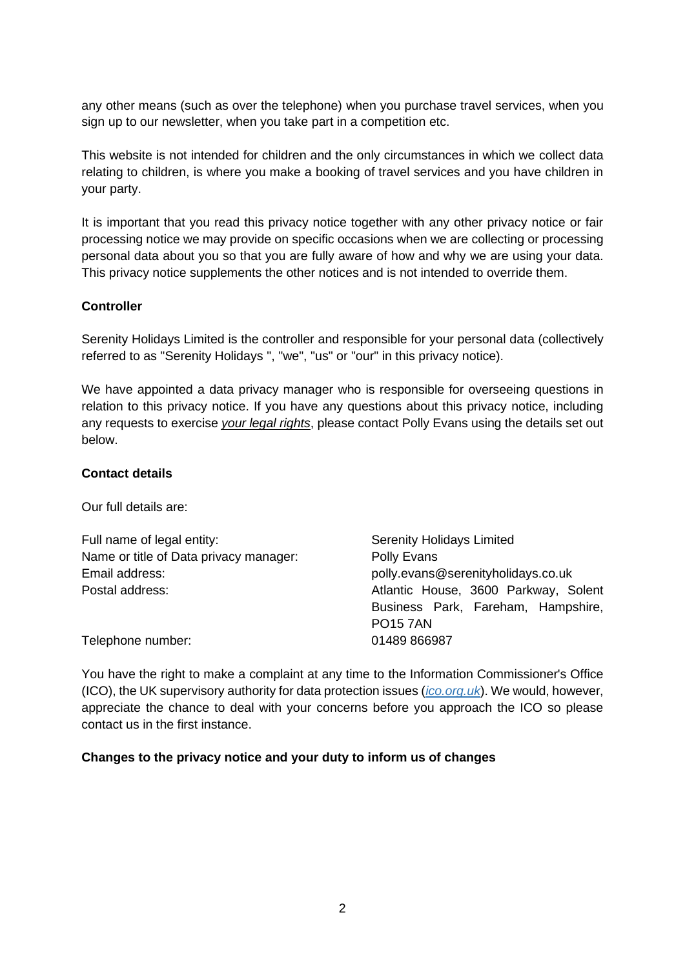any other means (such as over the telephone) when you purchase travel services, when you sign up to our newsletter, when you take part in a competition etc.

This website is not intended for children and the only circumstances in which we collect data relating to children, is where you make a booking of travel services and you have children in your party.

It is important that you read this privacy notice together with any other privacy notice or fair processing notice we may provide on specific occasions when we are collecting or processing personal data about you so that you are fully aware of how and why we are using your data. This privacy notice supplements the other notices and is not intended to override them.

## **Controller**

Serenity Holidays Limited is the controller and responsible for your personal data (collectively referred to as "Serenity Holidays ", "we", "us" or "our" in this privacy notice).

We have appointed a data privacy manager who is responsible for overseeing questions in relation to this privacy notice. If you have any questions about this privacy notice, including any requests to exercise *[your legal rights](#page-11-0)*, please contact Polly Evans using the details set out below.

## <span id="page-1-0"></span>**Contact details**

Our full details are:

| <b>Serenity Holidays Limited</b>     |  |
|--------------------------------------|--|
| Polly Evans                          |  |
| polly.evans@serenityholidays.co.uk   |  |
| Atlantic House, 3600 Parkway, Solent |  |
| Business Park, Fareham, Hampshire,   |  |
| <b>PO15 7AN</b>                      |  |
| 01489 866987                         |  |
|                                      |  |

You have the right to make a complaint at any time to the Information Commissioner's Office (ICO), the UK supervisory authority for data protection issues (*[ico.org.uk](https://ico.org.uk/)*). We would, however, appreciate the chance to deal with your concerns before you approach the ICO so please contact us in the first instance.

#### **Changes to the privacy notice and your duty to inform us of changes**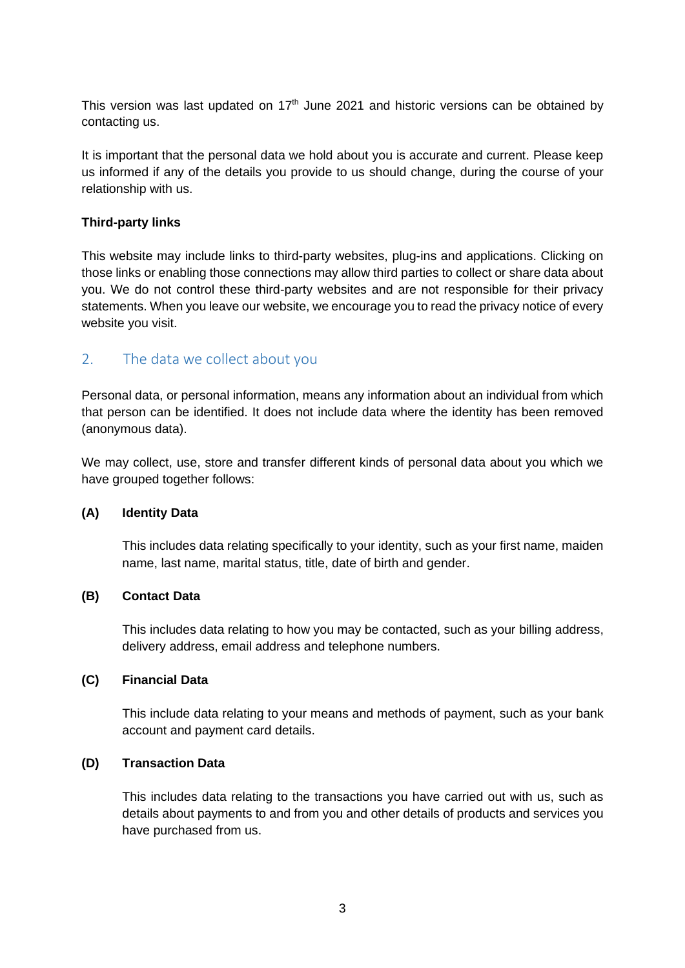This version was last updated on  $17<sup>th</sup>$  June 2021 and historic versions can be obtained by contacting us.

It is important that the personal data we hold about you is accurate and current. Please keep us informed if any of the details you provide to us should change, during the course of your relationship with us.

## **Third-party links**

This website may include links to third-party websites, plug-ins and applications. Clicking on those links or enabling those connections may allow third parties to collect or share data about you. We do not control these third-party websites and are not responsible for their privacy statements. When you leave our website, we encourage you to read the privacy notice of every website you visit.

# 2. The data we collect about you

<span id="page-2-0"></span>Personal data, or personal information, means any information about an individual from which that person can be identified. It does not include data where the identity has been removed (anonymous data).

We may collect, use, store and transfer different kinds of personal data about you which we have grouped together follows:

#### **(A) Identity Data**

This includes data relating specifically to your identity, such as your first name, maiden name, last name, marital status, title, date of birth and gender.

#### **(B) Contact Data**

This includes data relating to how you may be contacted, such as your billing address, delivery address, email address and telephone numbers.

#### **(C) Financial Data**

This include data relating to your means and methods of payment, such as your bank account and payment card details.

### **(D) Transaction Data**

This includes data relating to the transactions you have carried out with us, such as details about payments to and from you and other details of products and services you have purchased from us.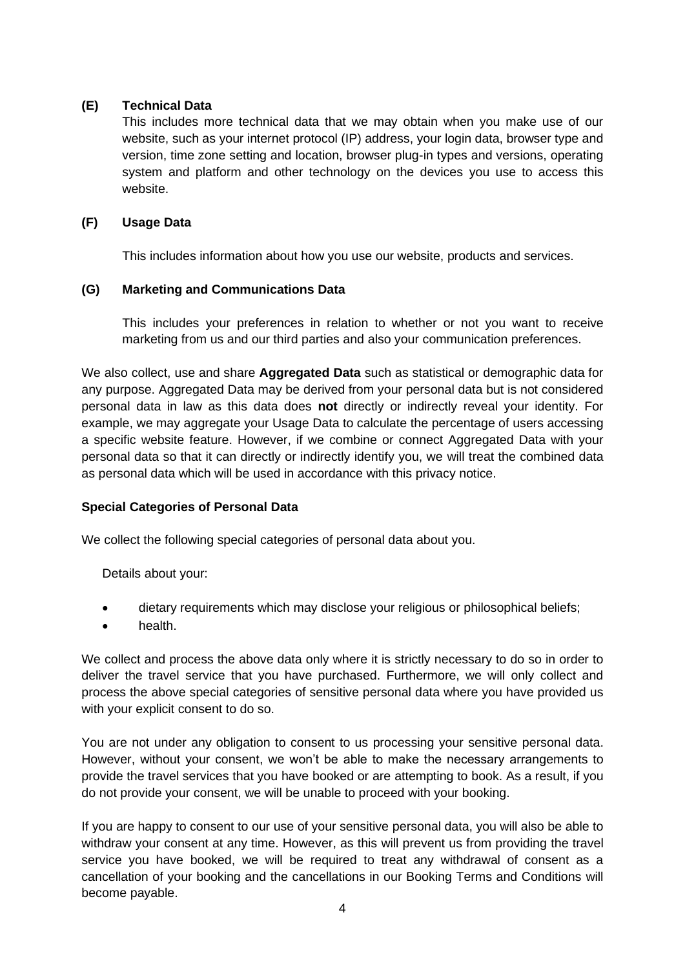# **(E) Technical Data**

This includes more technical data that we may obtain when you make use of our website, such as your internet protocol (IP) address, your login data, browser type and version, time zone setting and location, browser plug-in types and versions, operating system and platform and other technology on the devices you use to access this website.

## **(F) Usage Data**

This includes information about how you use our website, products and services.

## **(G) Marketing and Communications Data**

This includes your preferences in relation to whether or not you want to receive marketing from us and our third parties and also your communication preferences.

We also collect, use and share **Aggregated Data** such as statistical or demographic data for any purpose. Aggregated Data may be derived from your personal data but is not considered personal data in law as this data does **not** directly or indirectly reveal your identity. For example, we may aggregate your Usage Data to calculate the percentage of users accessing a specific website feature. However, if we combine or connect Aggregated Data with your personal data so that it can directly or indirectly identify you, we will treat the combined data as personal data which will be used in accordance with this privacy notice.

# **Special Categories of Personal Data**

We collect the following special categories of personal data about you.

Details about your:

- dietary requirements which may disclose your religious or philosophical beliefs;
- health.

We collect and process the above data only where it is strictly necessary to do so in order to deliver the travel service that you have purchased. Furthermore, we will only collect and process the above special categories of sensitive personal data where you have provided us with your explicit consent to do so.

You are not under any obligation to consent to us processing your sensitive personal data. However, without your consent, we won't be able to make the necessary arrangements to provide the travel services that you have booked or are attempting to book. As a result, if you do not provide your consent, we will be unable to proceed with your booking.

If you are happy to consent to our use of your sensitive personal data, you will also be able to withdraw your consent at any time. However, as this will prevent us from providing the travel service you have booked, we will be required to treat any withdrawal of consent as a cancellation of your booking and the cancellations in our Booking Terms and Conditions will become payable.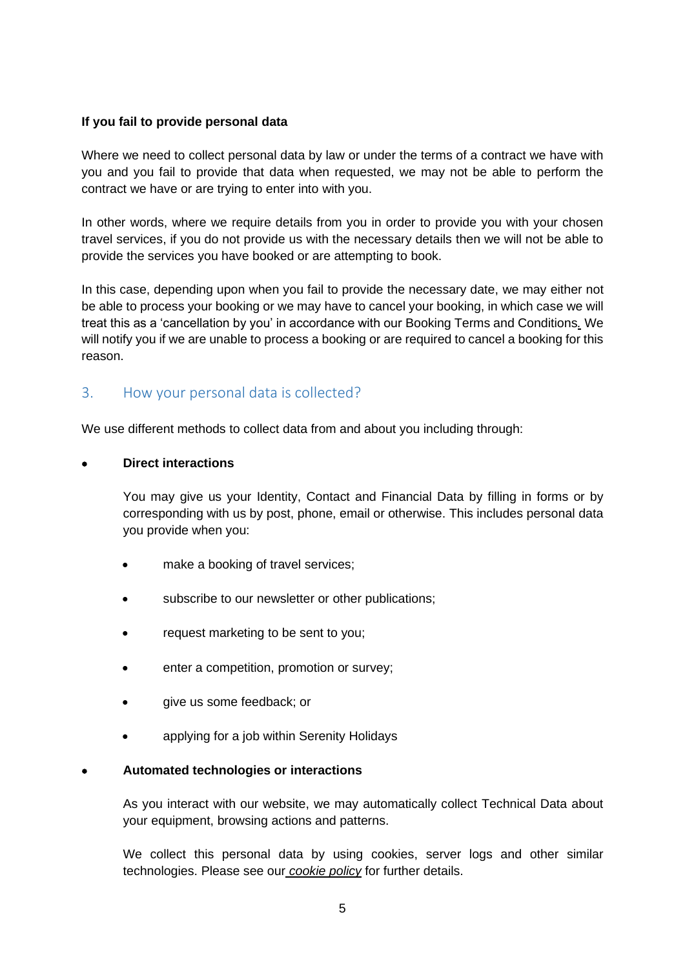### **If you fail to provide personal data**

Where we need to collect personal data by law or under the terms of a contract we have with you and you fail to provide that data when requested, we may not be able to perform the contract we have or are trying to enter into with you.

In other words, where we require details from you in order to provide you with your chosen travel services, if you do not provide us with the necessary details then we will not be able to provide the services you have booked or are attempting to book.

In this case, depending upon when you fail to provide the necessary date, we may either not be able to process your booking or we may have to cancel your booking, in which case we will treat this as a 'cancellation by you' in accordance with our Booking Terms and Conditions*[.](https://www.gambia.co.uk/booking-conditions-financial-security)* We will notify you if we are unable to process a booking or are required to cancel a booking for this reason.

# 3. How your personal data is collected?

<span id="page-4-0"></span>We use different methods to collect data from and about you including through:

## • **Direct interactions**

You may give us your Identity, Contact and Financial Data by filling in forms or by corresponding with us by post, phone, email or otherwise. This includes personal data you provide when you:

- make a booking of travel services;
- subscribe to our newsletter or other publications;
- request marketing to be sent to you;
- enter a competition, promotion or survey;
- give us some feedback; or
- applying for a job within Serenity Holidays

#### • **Automated technologies or interactions**

As you interact with our website, we may automatically collect Technical Data about your equipment, browsing actions and patterns.

We collect this personal data by using cookies, server logs and other similar technologies. Please see our *[cookie policy](http://www.serenity.co.uk/cookie-policy)* for further details.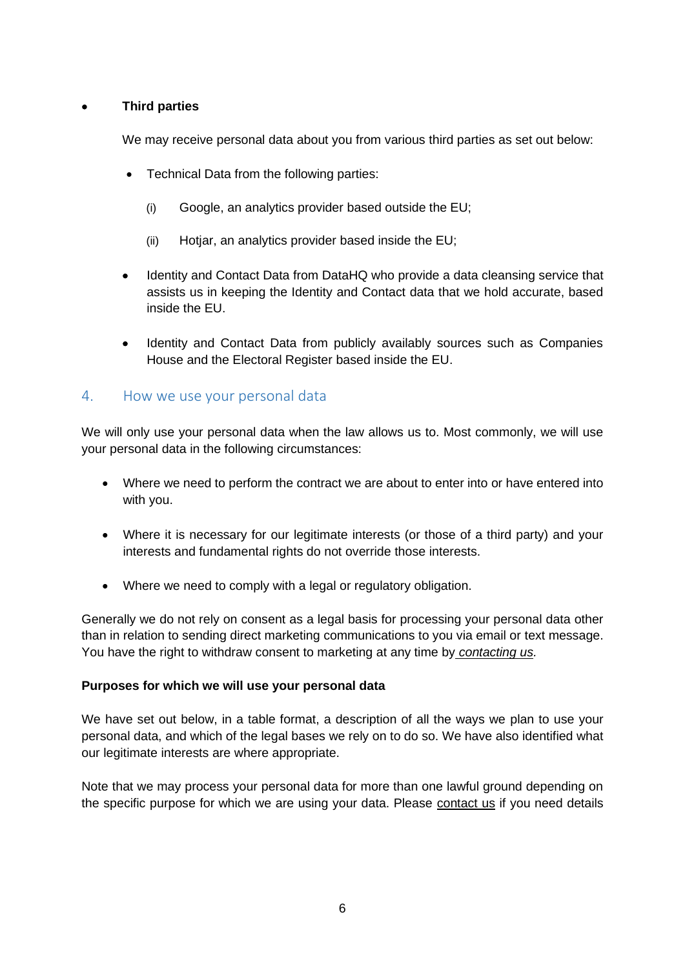# • **Third parties**

We may receive personal data about you from various third parties as set out below:

- Technical Data from the following parties:
	- (i) Google, an analytics provider based outside the EU;
	- (ii) Hotjar, an analytics provider based inside the EU;
- Identity and Contact Data from DataHQ who provide a data cleansing service that assists us in keeping the Identity and Contact data that we hold accurate, based inside the EU.
- Identity and Contact Data from publicly availably sources such as Companies House and the Electoral Register based inside the EU.

# 4. How we use your personal data

<span id="page-5-0"></span>We will only use your personal data when the law allows us to. Most commonly, we will use your personal data in the following circumstances:

- Where we need to perform the contract we are about to enter into or have entered into with you.
- Where it is necessary for our legitimate interests (or those of a third party) and your interests and fundamental rights do not override those interests.
- Where we need to comply with a legal or regulatory obligation.

Generally we do not rely on consent as a legal basis for processing your personal data other than in relation to sending direct marketing communications to you via email or text message. You have the right to withdraw consent to marketing at any time by *[contacting us.](#page-1-0)*

# **Purposes for which we will use your personal data**

We have set out below, in a table format, a description of all the ways we plan to use your personal data, and which of the legal bases we rely on to do so. We have also identified what our legitimate interests are where appropriate.

Note that we may process your personal data for more than one lawful ground depending on the specific purpose for which we are using your data. Please [contact us](#page-1-0) if you need details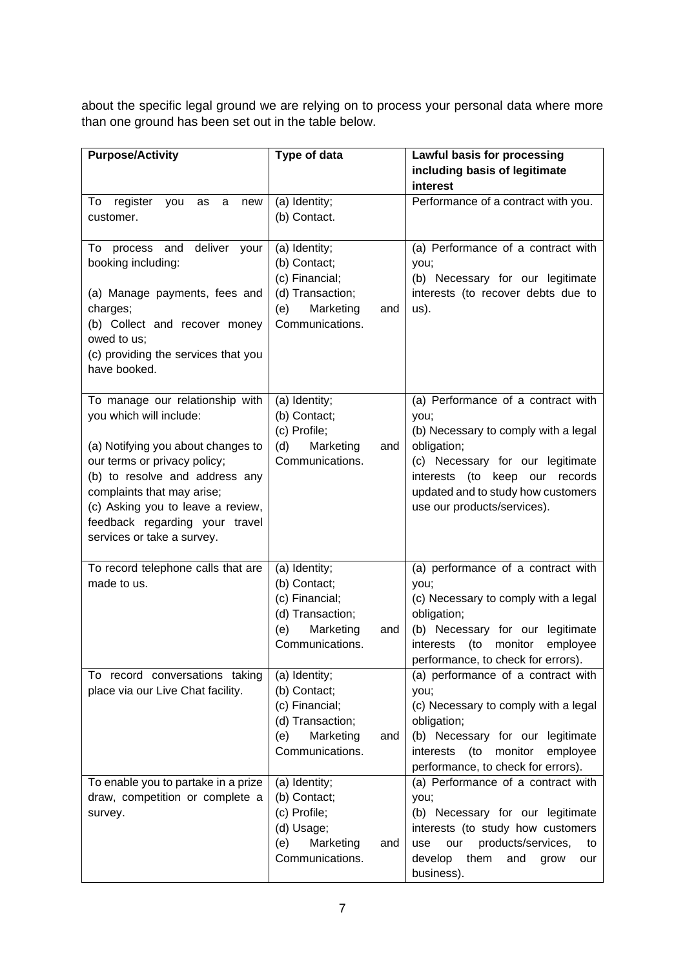about the specific legal ground we are relying on to process your personal data where more than one ground has been set out in the table below.

| <b>Purpose/Activity</b>                                                                                                                                                                                                                                                                               | Type of data                                                                                                      | Lawful basis for processing                                                                                                                                                                                                                  |
|-------------------------------------------------------------------------------------------------------------------------------------------------------------------------------------------------------------------------------------------------------------------------------------------------------|-------------------------------------------------------------------------------------------------------------------|----------------------------------------------------------------------------------------------------------------------------------------------------------------------------------------------------------------------------------------------|
|                                                                                                                                                                                                                                                                                                       |                                                                                                                   | including basis of legitimate<br>interest                                                                                                                                                                                                    |
| To<br>register<br>you<br>as<br>a<br>new<br>customer.                                                                                                                                                                                                                                                  | (a) Identity;<br>(b) Contact.                                                                                     | Performance of a contract with you.                                                                                                                                                                                                          |
| deliver<br>To process and<br>your<br>booking including:<br>(a) Manage payments, fees and<br>charges;<br>(b) Collect and recover money<br>owed to us;<br>(c) providing the services that you<br>have booked.                                                                                           | (a) Identity;<br>(b) Contact;<br>(c) Financial;<br>(d) Transaction;<br>(e)<br>Marketing<br>and<br>Communications. | (a) Performance of a contract with<br>you;<br>(b) Necessary for our legitimate<br>interests (to recover debts due to<br>us).                                                                                                                 |
| To manage our relationship with<br>you which will include:<br>(a) Notifying you about changes to<br>our terms or privacy policy;<br>(b) to resolve and address any<br>complaints that may arise;<br>(c) Asking you to leave a review,<br>feedback regarding your travel<br>services or take a survey. | (a) Identity;<br>(b) Contact;<br>(c) Profile;<br>(d)<br>Marketing<br>and<br>Communications.                       | (a) Performance of a contract with<br>you;<br>(b) Necessary to comply with a legal<br>obligation;<br>(c) Necessary for our legitimate<br>interests (to keep our records<br>updated and to study how customers<br>use our products/services). |
| To record telephone calls that are<br>made to us.                                                                                                                                                                                                                                                     | (a) Identity;<br>(b) Contact;<br>(c) Financial;<br>(d) Transaction;<br>Marketing<br>(e)<br>and<br>Communications. | (a) performance of a contract with<br>you;<br>(c) Necessary to comply with a legal<br>obligation;<br>(b) Necessary for our legitimate<br>interests<br>monitor<br>employee<br>(to<br>performance, to check for errors).                       |
| To record conversations taking<br>place via our Live Chat facility.                                                                                                                                                                                                                                   | (a) Identity;<br>(b) Contact;<br>(c) Financial;<br>(d) Transaction;<br>Marketing<br>(e)<br>and<br>Communications. | (a) performance of a contract with<br>you;<br>(c) Necessary to comply with a legal<br>obligation;<br>(b) Necessary for our legitimate<br>(to<br>monitor<br>employee<br>interests<br>performance, to check for errors).                       |
| To enable you to partake in a prize<br>draw, competition or complete a<br>survey.                                                                                                                                                                                                                     | (a) Identity;<br>(b) Contact;<br>(c) Profile;<br>(d) Usage;<br>Marketing<br>(e)<br>and<br>Communications.         | (a) Performance of a contract with<br>you;<br>(b) Necessary for our legitimate<br>interests (to study how customers<br>products/services,<br>our<br>use<br>to<br>develop<br>them<br>and<br>grow<br>our<br>business).                         |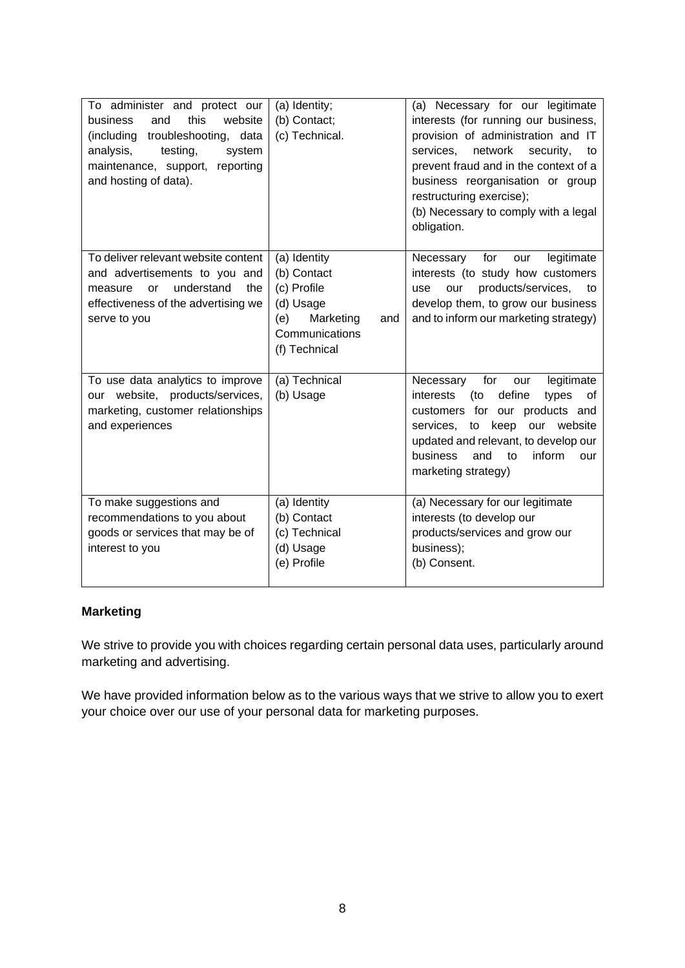| To administer and protect our<br>this<br>and<br>website<br>business<br>(including troubleshooting, data<br>analysis,<br>testing,<br>system<br>reporting<br>maintenance, support,<br>and hosting of data). | (a) Identity;<br>(b) Contact;<br>(c) Technical.                                                                       | (a) Necessary for our legitimate<br>interests (for running our business,<br>provision of administration and IT<br>services,<br>network<br>security,<br>to<br>prevent fraud and in the context of a<br>business reorganisation or group<br>restructuring exercise);<br>(b) Necessary to comply with a legal<br>obligation. |
|-----------------------------------------------------------------------------------------------------------------------------------------------------------------------------------------------------------|-----------------------------------------------------------------------------------------------------------------------|---------------------------------------------------------------------------------------------------------------------------------------------------------------------------------------------------------------------------------------------------------------------------------------------------------------------------|
| To deliver relevant website content<br>and advertisements to you and<br>understand<br>the<br><b>or</b><br>measure<br>effectiveness of the advertising we<br>serve to you                                  | (a) Identity<br>(b) Contact<br>(c) Profile<br>(d) Usage<br>(e)<br>Marketing<br>and<br>Communications<br>(f) Technical | legitimate<br>Necessary<br>for<br>our<br>interests (to study how customers<br>products/services,<br>our<br><b>use</b><br>to<br>develop them, to grow our business<br>and to inform our marketing strategy)                                                                                                                |
| To use data analytics to improve<br>our website, products/services,<br>marketing, customer relationships<br>and experiences                                                                               | (a) Technical<br>(b) Usage                                                                                            | legitimate<br>Necessary<br>for<br>our<br>define<br>interests<br>(to<br>types<br>οf<br>customers for our products and<br>services,<br>keep<br>our website<br>to<br>updated and relevant, to develop our<br>business<br>inform<br>and<br>to<br>our<br>marketing strategy)                                                   |
| To make suggestions and<br>recommendations to you about<br>goods or services that may be of<br>interest to you                                                                                            | (a) Identity<br>(b) Contact<br>(c) Technical<br>(d) Usage<br>(e) Profile                                              | (a) Necessary for our legitimate<br>interests (to develop our<br>products/services and grow our<br>business);<br>(b) Consent.                                                                                                                                                                                             |

# **Marketing**

We strive to provide you with choices regarding certain personal data uses, particularly around marketing and advertising.

We have provided information below as to the various ways that we strive to allow you to exert your choice over our use of your personal data for marketing purposes.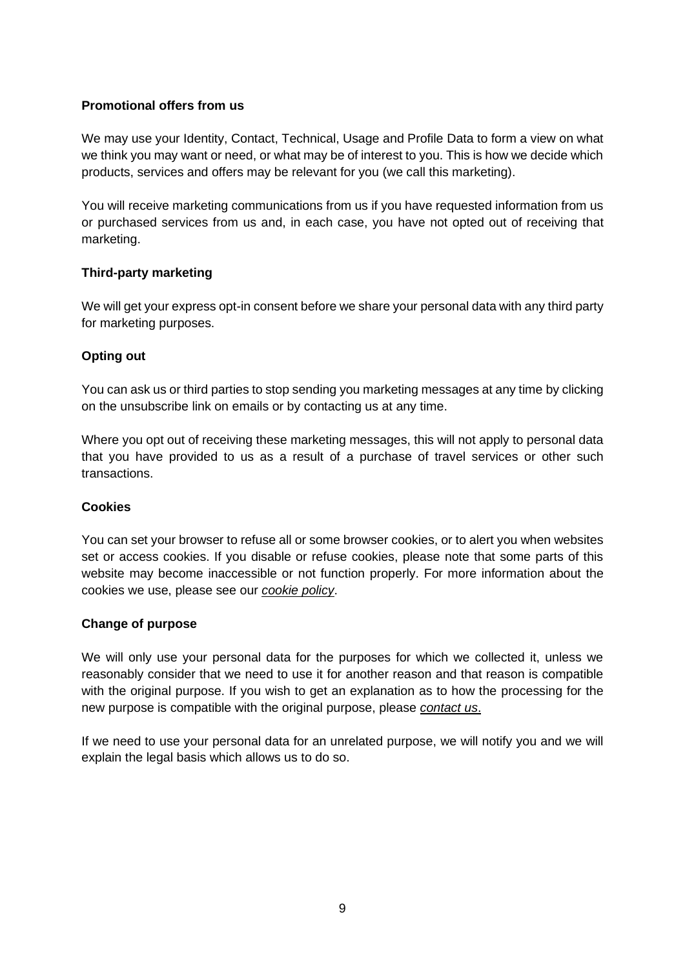# **Promotional offers from us**

We may use your Identity, Contact, Technical, Usage and Profile Data to form a view on what we think you may want or need, or what may be of interest to you. This is how we decide which products, services and offers may be relevant for you (we call this marketing).

You will receive marketing communications from us if you have requested information from us or purchased services from us and, in each case, you have not opted out of receiving that marketing.

## **Third-party marketing**

We will get your express opt-in consent before we share your personal data with any third party for marketing purposes.

## **Opting out**

You can ask us or third parties to stop sending you marketing messages at any time by clicking on the unsubscribe link on emails or by contacting us at any time.

Where you opt out of receiving these marketing messages, this will not apply to personal data that you have provided to us as a result of a purchase of travel services or other such transactions.

#### **Cookies**

You can set your browser to refuse all or some browser cookies, or to alert you when websites set or access cookies. If you disable or refuse cookies, please note that some parts of this website may become inaccessible or not function properly. For more information about the cookies we use, please see our *[cookie policy](http://www.serenity.co.uk/cookie-policy)*.

#### **Change of purpose**

We will only use your personal data for the purposes for which we collected it, unless we reasonably consider that we need to use it for another reason and that reason is compatible with the original purpose. If you wish to get an explanation as to how the processing for the new purpose is compatible with the original purpose, please *[contact us](#page-1-0)*.

If we need to use your personal data for an unrelated purpose, we will notify you and we will explain the legal basis which allows us to do so.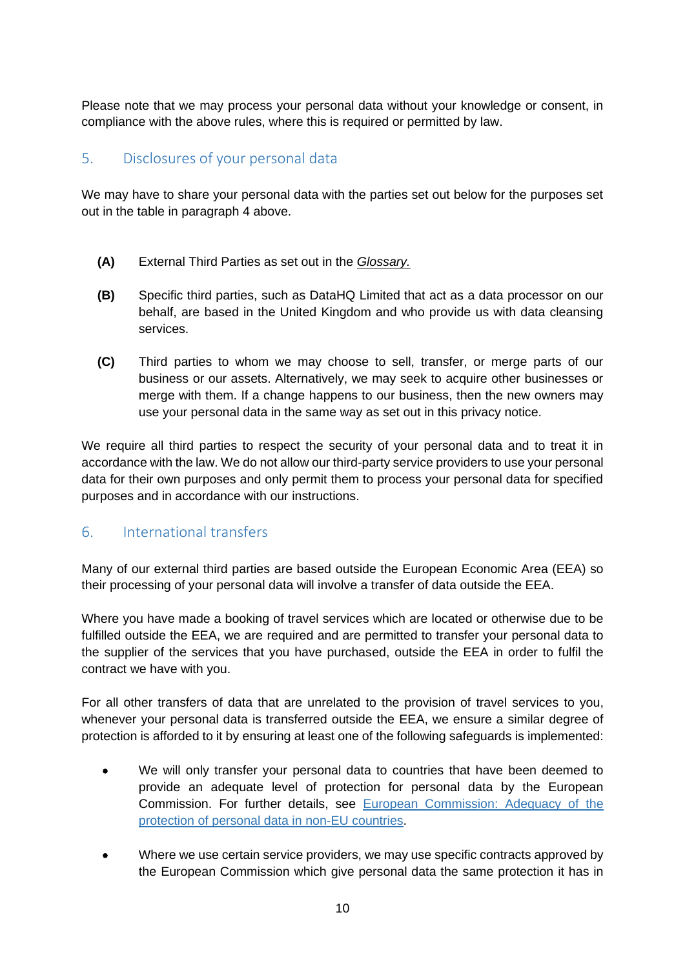Please note that we may process your personal data without your knowledge or consent, in compliance with the above rules, where this is required or permitted by law.

# 5. Disclosures of your personal data

<span id="page-9-0"></span>We may have to share your personal data with the parties set out below for the purposes set out in the table in paragraph 4 above.

- **(A)** External Third Parties as set out in the *[Glossary.](#page-12-0)*
- **(B)** Specific third parties, such as DataHQ Limited that act as a data processor on our behalf, are based in the United Kingdom and who provide us with data cleansing services.
- **(C)** Third parties to whom we may choose to sell, transfer, or merge parts of our business or our assets. Alternatively, we may seek to acquire other businesses or merge with them. If a change happens to our business, then the new owners may use your personal data in the same way as set out in this privacy notice.

We require all third parties to respect the security of your personal data and to treat it in accordance with the law. We do not allow our third-party service providers to use your personal data for their own purposes and only permit them to process your personal data for specified purposes and in accordance with our instructions.

# 6. International transfers

<span id="page-9-1"></span>Many of our external third parties are based outside the European Economic Area (EEA) so their processing of your personal data will involve a transfer of data outside the EEA.

Where you have made a booking of travel services which are located or otherwise due to be fulfilled outside the EEA, we are required and are permitted to transfer your personal data to the supplier of the services that you have purchased, outside the EEA in order to fulfil the contract we have with you.

For all other transfers of data that are unrelated to the provision of travel services to you, whenever your personal data is transferred outside the EEA, we ensure a similar degree of protection is afforded to it by ensuring at least one of the following safeguards is implemented:

- We will only transfer your personal data to countries that have been deemed to provide an adequate level of protection for personal data by the European Commission. For further details, see [European Commission: Adequacy of the](https://ec.europa.eu/info/law/law-topic/data-protection/data-transfers-outside-eu/adequacy-protection-personal-data-non-eu-countries_en)  [protection of personal data in non-EU countries.](https://ec.europa.eu/info/law/law-topic/data-protection/data-transfers-outside-eu/adequacy-protection-personal-data-non-eu-countries_en)
- Where we use certain service providers, we may use specific contracts approved by the European Commission which give personal data the same protection it has in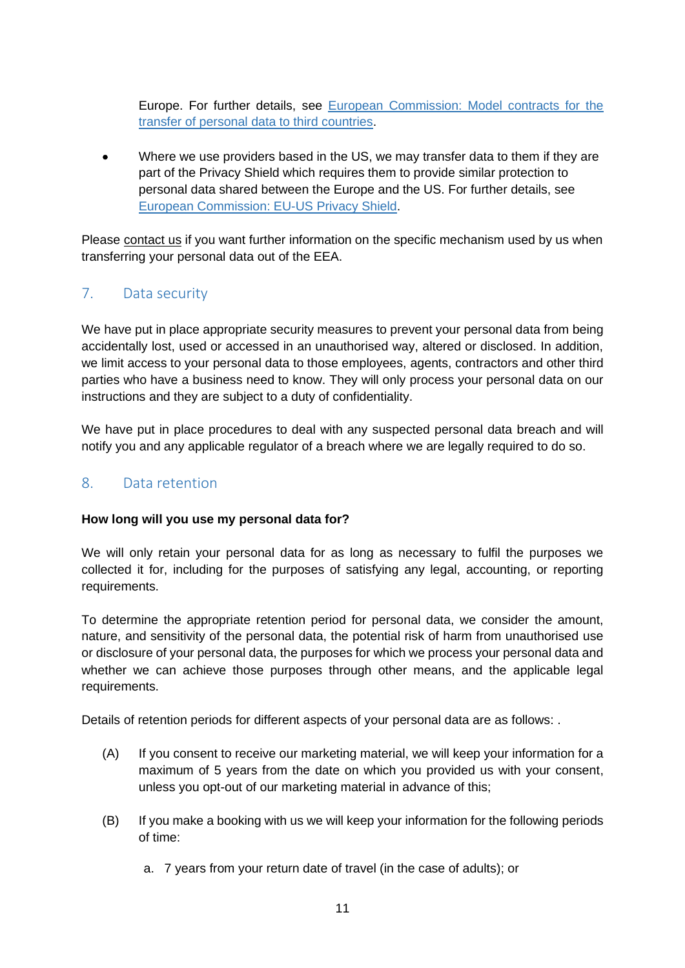Europe. For further details, see [European Commission: Model contracts for the](https://ec.europa.eu/info/law/law-topic/data-protection/data-transfers-outside-eu/model-contracts-transfer-personal-data-third-countries_en)  [transfer of personal data to third countries.](https://ec.europa.eu/info/law/law-topic/data-protection/data-transfers-outside-eu/model-contracts-transfer-personal-data-third-countries_en)

• Where we use providers based in the US, we may transfer data to them if they are part of the Privacy Shield which requires them to provide similar protection to personal data shared between the Europe and the US. For further details, see [European Commission: EU-US Privacy Shield.](https://ec.europa.eu/info/law/law-topic/data-protection/data-transfers-outside-eu/eu-us-privacy-shield_en)

Please [contact us](#page-1-0) if you want further information on the specific mechanism used by us when transferring your personal data out of the EEA.

# 7. Data security

<span id="page-10-0"></span>We have put in place appropriate security measures to prevent your personal data from being accidentally lost, used or accessed in an unauthorised way, altered or disclosed. In addition, we limit access to your personal data to those employees, agents, contractors and other third parties who have a business need to know. They will only process your personal data on our instructions and they are subject to a duty of confidentiality.

We have put in place procedures to deal with any suspected personal data breach and will notify you and any applicable regulator of a breach where we are legally required to do so.

# 8. Data retention

# <span id="page-10-1"></span>**How long will you use my personal data for?**

We will only retain your personal data for as long as necessary to fulfil the purposes we collected it for, including for the purposes of satisfying any legal, accounting, or reporting requirements.

To determine the appropriate retention period for personal data, we consider the amount, nature, and sensitivity of the personal data, the potential risk of harm from unauthorised use or disclosure of your personal data, the purposes for which we process your personal data and whether we can achieve those purposes through other means, and the applicable legal requirements.

Details of retention periods for different aspects of your personal data are as follows: .

- (A) If you consent to receive our marketing material, we will keep your information for a maximum of 5 years from the date on which you provided us with your consent, unless you opt-out of our marketing material in advance of this;
- (B) If you make a booking with us we will keep your information for the following periods of time:
	- a. 7 years from your return date of travel (in the case of adults); or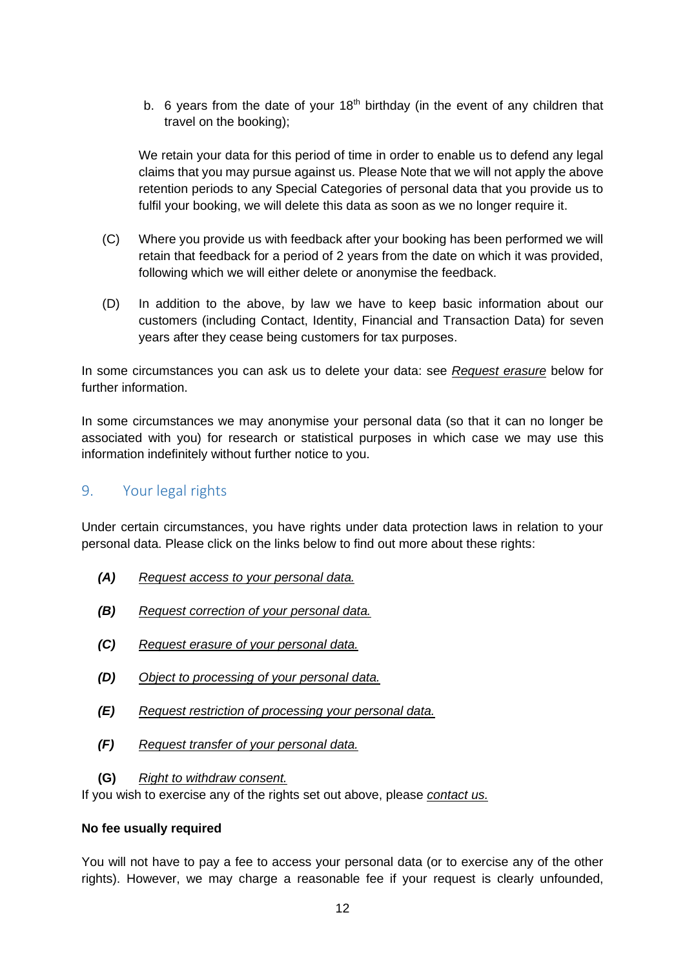b. 6 years from the date of your  $18<sup>th</sup>$  birthday (in the event of any children that travel on the booking);

We retain your data for this period of time in order to enable us to defend any legal claims that you may pursue against us. Please Note that we will not apply the above retention periods to any Special Categories of personal data that you provide us to fulfil your booking, we will delete this data as soon as we no longer require it.

- (C) Where you provide us with feedback after your booking has been performed we will retain that feedback for a period of 2 years from the date on which it was provided, following which we will either delete or anonymise the feedback.
- (D) In addition to the above, by law we have to keep basic information about our customers (including Contact, Identity, Financial and Transaction Data) for seven years after they cease being customers for tax purposes.

In some circumstances you can ask us to delete your data: see *[Request erasure](#page-14-0)* below for further information.

In some circumstances we may anonymise your personal data (so that it can no longer be associated with you) for research or statistical purposes in which case we may use this information indefinitely without further notice to you.

# 9. Your legal rights

<span id="page-11-0"></span>Under certain circumstances, you have rights under data protection laws in relation to your personal data. Please click on the links below to find out more about these rights:

- *(A) [Request access to your personal data.](#page-13-0)*
- *(B) [Request correction of your personal data.](#page-13-1)*
- *(C) [Request erasure of your personal data.](#page-14-0)*
- *(D) [Object to processing of your personal data.](#page-14-1)*
- *(E) [Request restriction of processing your personal data.](#page-14-2)*
- *(F) [Request transfer of your personal data.](#page-14-3)*
- **(G)** *[Right to withdraw consent.](#page-14-4)*

If you wish to exercise any of the rights set out above, please *[contact us.](#page-1-0)*

#### **No fee usually required**

You will not have to pay a fee to access your personal data (or to exercise any of the other rights). However, we may charge a reasonable fee if your request is clearly unfounded,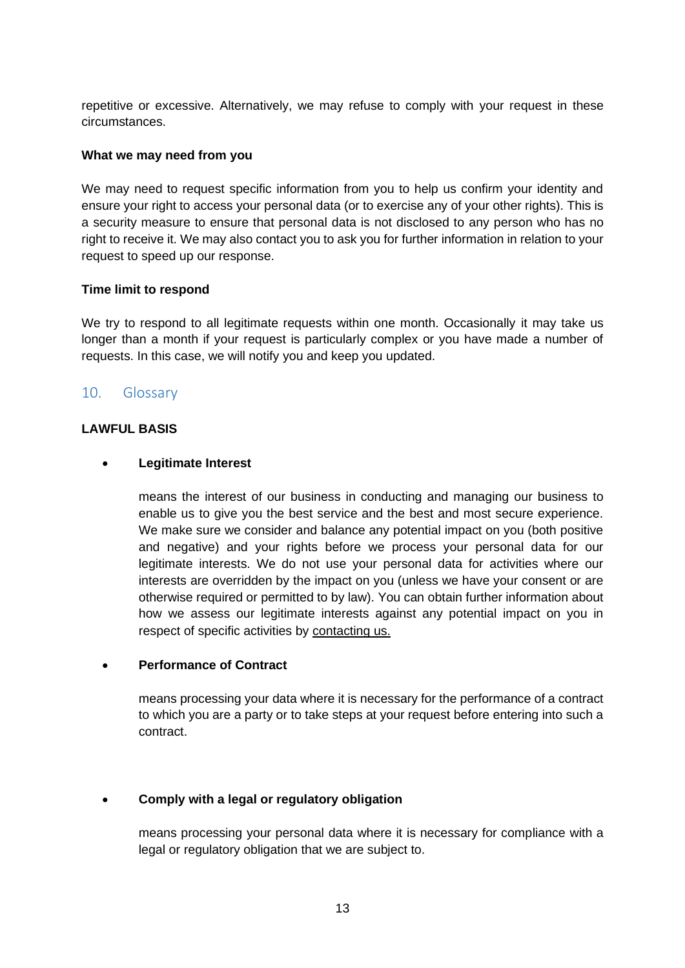repetitive or excessive. Alternatively, we may refuse to comply with your request in these circumstances.

#### **What we may need from you**

We may need to request specific information from you to help us confirm your identity and ensure your right to access your personal data (or to exercise any of your other rights). This is a security measure to ensure that personal data is not disclosed to any person who has no right to receive it. We may also contact you to ask you for further information in relation to your request to speed up our response.

#### **Time limit to respond**

We try to respond to all legitimate requests within one month. Occasionally it may take us longer than a month if your request is particularly complex or you have made a number of requests. In this case, we will notify you and keep you updated.

# 10. Glossary

## <span id="page-12-0"></span>**LAWFUL BASIS**

## • **Legitimate Interest**

means the interest of our business in conducting and managing our business to enable us to give you the best service and the best and most secure experience. We make sure we consider and balance any potential impact on you (both positive and negative) and your rights before we process your personal data for our legitimate interests. We do not use your personal data for activities where our interests are overridden by the impact on you (unless we have your consent or are otherwise required or permitted to by law). You can obtain further information about how we assess our legitimate interests against any potential impact on you in respect of specific activities by [contacting us.](#page-1-0)

# • **Performance of Contract**

means processing your data where it is necessary for the performance of a contract to which you are a party or to take steps at your request before entering into such a contract.

#### • **Comply with a legal or regulatory obligation**

means processing your personal data where it is necessary for compliance with a legal or regulatory obligation that we are subject to.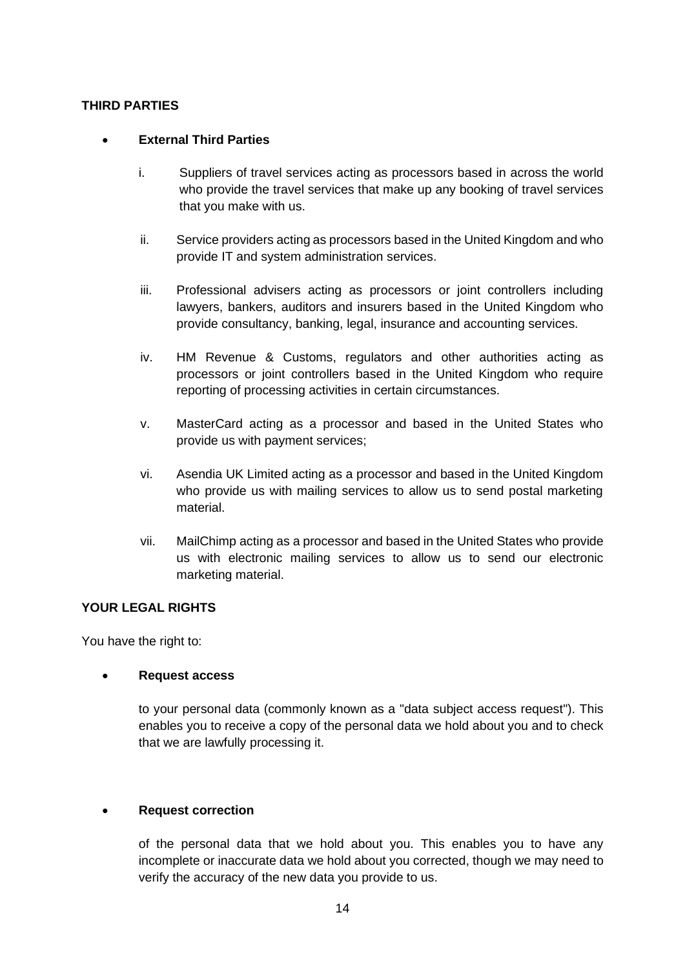# **THIRD PARTIES**

## • **External Third Parties**

- i. Suppliers of travel services acting as processors based in across the world who provide the travel services that make up any booking of travel services that you make with us.
- ii. Service providers acting as processors based in the United Kingdom and who provide IT and system administration services.
- iii. Professional advisers acting as processors or joint controllers including lawyers, bankers, auditors and insurers based in the United Kingdom who provide consultancy, banking, legal, insurance and accounting services.
- iv. HM Revenue & Customs, regulators and other authorities acting as processors or joint controllers based in the United Kingdom who require reporting of processing activities in certain circumstances.
- v. MasterCard acting as a processor and based in the United States who provide us with payment services;
- vi. Asendia UK Limited acting as a processor and based in the United Kingdom who provide us with mailing services to allow us to send postal marketing material.
- vii. MailChimp acting as a processor and based in the United States who provide us with electronic mailing services to allow us to send our electronic marketing material.

# **YOUR LEGAL RIGHTS**

You have the right to:

# <span id="page-13-0"></span>• **Request access**

to your personal data (commonly known as a "data subject access request"). This enables you to receive a copy of the personal data we hold about you and to check that we are lawfully processing it.

#### <span id="page-13-1"></span>• **Request correction**

of the personal data that we hold about you. This enables you to have any incomplete or inaccurate data we hold about you corrected, though we may need to verify the accuracy of the new data you provide to us.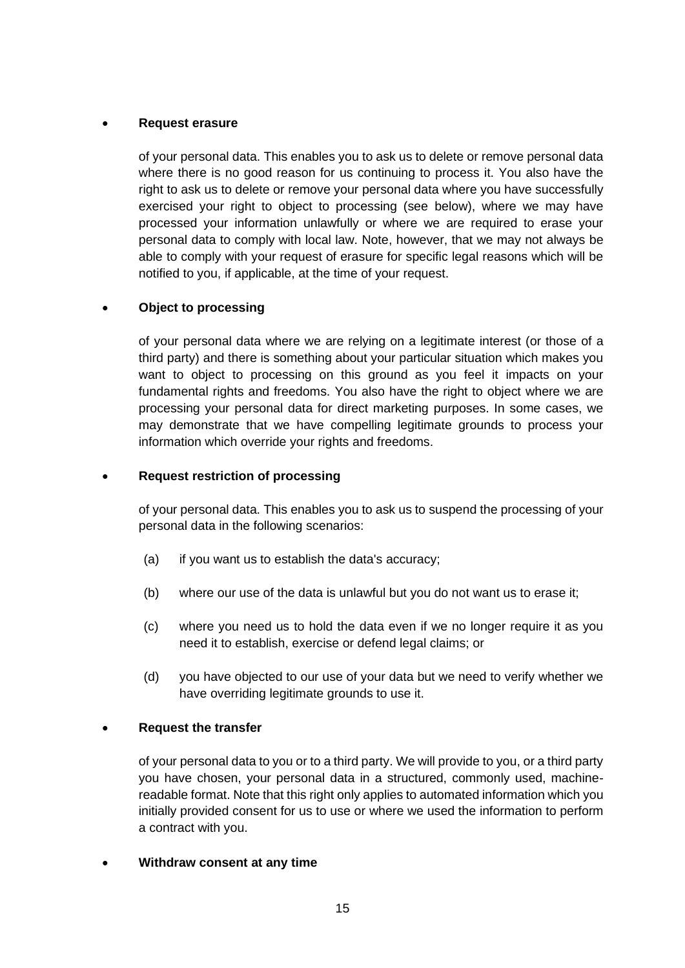## <span id="page-14-0"></span>• **Request erasure**

of your personal data. This enables you to ask us to delete or remove personal data where there is no good reason for us continuing to process it. You also have the right to ask us to delete or remove your personal data where you have successfully exercised your right to object to processing (see below), where we may have processed your information unlawfully or where we are required to erase your personal data to comply with local law. Note, however, that we may not always be able to comply with your request of erasure for specific legal reasons which will be notified to you, if applicable, at the time of your request.

# <span id="page-14-1"></span>• **Object to processing**

of your personal data where we are relying on a legitimate interest (or those of a third party) and there is something about your particular situation which makes you want to object to processing on this ground as you feel it impacts on your fundamental rights and freedoms. You also have the right to object where we are processing your personal data for direct marketing purposes. In some cases, we may demonstrate that we have compelling legitimate grounds to process your information which override your rights and freedoms.

#### <span id="page-14-2"></span>• **Request restriction of processing**

of your personal data. This enables you to ask us to suspend the processing of your personal data in the following scenarios:

- (a) if you want us to establish the data's accuracy;
- (b) where our use of the data is unlawful but you do not want us to erase it;
- (c) where you need us to hold the data even if we no longer require it as you need it to establish, exercise or defend legal claims; or
- (d) you have objected to our use of your data but we need to verify whether we have overriding legitimate grounds to use it.

#### <span id="page-14-3"></span>• **Request the transfer**

of your personal data to you or to a third party. We will provide to you, or a third party you have chosen, your personal data in a structured, commonly used, machinereadable format. Note that this right only applies to automated information which you initially provided consent for us to use or where we used the information to perform a contract with you.

#### <span id="page-14-4"></span>• **Withdraw consent at any time**